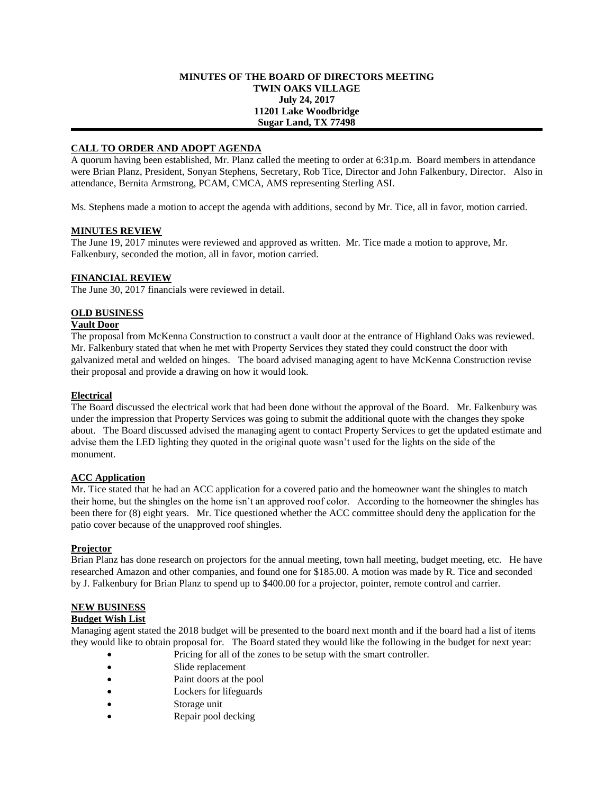#### **MINUTES OF THE BOARD OF DIRECTORS MEETING TWIN OAKS VILLAGE July 24, 2017 11201 Lake Woodbridge Sugar Land, TX 77498**

## **CALL TO ORDER AND ADOPT AGENDA**

A quorum having been established, Mr. Planz called the meeting to order at 6:31p.m. Board members in attendance were Brian Planz, President, Sonyan Stephens, Secretary, Rob Tice, Director and John Falkenbury, Director. Also in attendance, Bernita Armstrong, PCAM, CMCA, AMS representing Sterling ASI.

Ms. Stephens made a motion to accept the agenda with additions, second by Mr. Tice, all in favor, motion carried.

#### **MINUTES REVIEW**

The June 19, 2017 minutes were reviewed and approved as written. Mr. Tice made a motion to approve, Mr. Falkenbury, seconded the motion, all in favor, motion carried.

## **FINANCIAL REVIEW**

The June 30, 2017 financials were reviewed in detail.

## **OLD BUSINESS**

## **Vault Door**

The proposal from McKenna Construction to construct a vault door at the entrance of Highland Oaks was reviewed. Mr. Falkenbury stated that when he met with Property Services they stated they could construct the door with galvanized metal and welded on hinges. The board advised managing agent to have McKenna Construction revise their proposal and provide a drawing on how it would look.

#### **Electrical**

The Board discussed the electrical work that had been done without the approval of the Board. Mr. Falkenbury was under the impression that Property Services was going to submit the additional quote with the changes they spoke about. The Board discussed advised the managing agent to contact Property Services to get the updated estimate and advise them the LED lighting they quoted in the original quote wasn't used for the lights on the side of the monument.

## **ACC Application**

Mr. Tice stated that he had an ACC application for a covered patio and the homeowner want the shingles to match their home, but the shingles on the home isn't an approved roof color. According to the homeowner the shingles has been there for (8) eight years. Mr. Tice questioned whether the ACC committee should deny the application for the patio cover because of the unapproved roof shingles.

## **Projector**

Brian Planz has done research on projectors for the annual meeting, town hall meeting, budget meeting, etc. He have researched Amazon and other companies, and found one for \$185.00. A motion was made by R. Tice and seconded by J. Falkenbury for Brian Planz to spend up to \$400.00 for a projector, pointer, remote control and carrier.

## **NEW BUSINESS**

#### **Budget Wish List**

Managing agent stated the 2018 budget will be presented to the board next month and if the board had a list of items they would like to obtain proposal for. The Board stated they would like the following in the budget for next year:

- Pricing for all of the zones to be setup with the smart controller.
- Slide replacement
- Paint doors at the pool
- Lockers for lifeguards
- Storage unit
- Repair pool decking